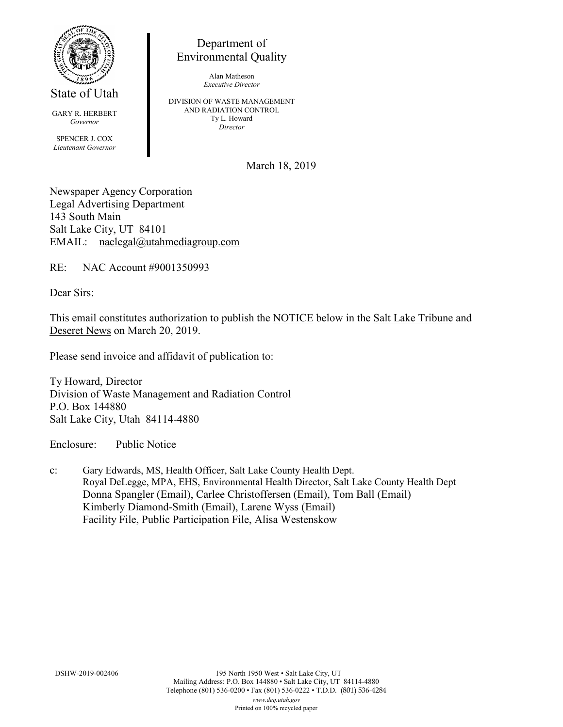

State of Utah

GARY R. HERBERT *Governor* SPENCER J. COX *Lieutenant Governor*

Department of Environmental Quality

> Alan Matheson *Executive Director*

DIVISION OF WASTE MANAGEMENT AND RADIATION CONTROL Ty L. Howard *Director*

March 18, 2019

Newspaper Agency Corporation Legal Advertising Department 143 South Main Salt Lake City, UT 84101 EMAIL: naclegal@utahmediagroup.com

RE: NAC Account #9001350993

Dear Sirs:

This email constitutes authorization to publish the NOTICE below in the Salt Lake Tribune and Deseret News on March 20, 2019.

Please send invoice and affidavit of publication to:

Ty Howard, Director Division of Waste Management and Radiation Control P.O. Box 144880 Salt Lake City, Utah 84114-4880

Enclosure: Public Notice

c: Gary Edwards, MS, Health Officer, Salt Lake County Health Dept. Royal DeLegge, MPA, EHS, Environmental Health Director, Salt Lake County Health Dept Donna Spangler (Email), Carlee Christoffersen (Email), Tom Ball (Email) Kimberly Diamond-Smith (Email), Larene Wyss (Email) Facility File, Public Participation File, Alisa Westenskow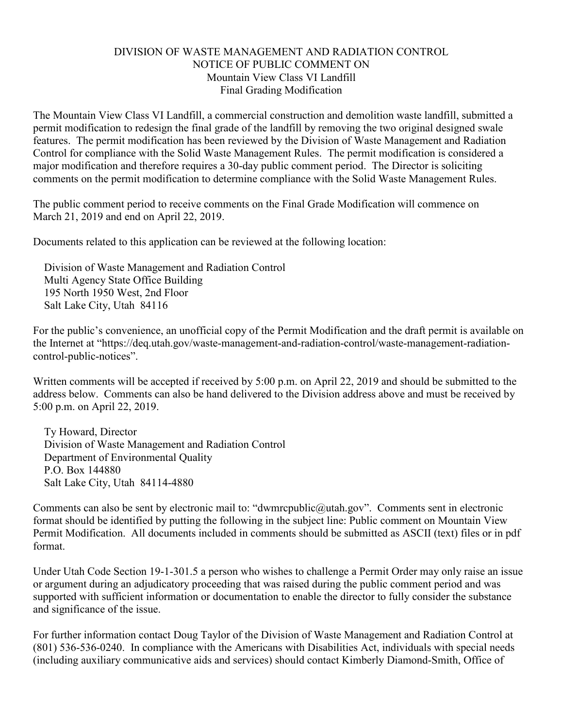## DIVISION OF WASTE MANAGEMENT AND RADIATION CONTROL NOTICE OF PUBLIC COMMENT ON Mountain View Class VI Landfill Final Grading Modification

The Mountain View Class VI Landfill, a commercial construction and demolition waste landfill, submitted a permit modification to redesign the final grade of the landfill by removing the two original designed swale features. The permit modification has been reviewed by the Division of Waste Management and Radiation Control for compliance with the Solid Waste Management Rules. The permit modification is considered a major modification and therefore requires a 30-day public comment period. The Director is soliciting comments on the permit modification to determine compliance with the Solid Waste Management Rules.

The public comment period to receive comments on the Final Grade Modification will commence on March 21, 2019 and end on April 22, 2019.

Documents related to this application can be reviewed at the following location:

Division of Waste Management and Radiation Control Multi Agency State Office Building 195 North 1950 West, 2nd Floor Salt Lake City, Utah 84116

For the public's convenience, an unofficial copy of the Permit Modification and the draft permit is available on the Internet at "https://deq.utah.gov/waste-management-and-radiation-control/waste-management-radiationcontrol-public-notices".

Written comments will be accepted if received by 5:00 p.m. on April 22, 2019 and should be submitted to the address below. Comments can also be hand delivered to the Division address above and must be received by 5:00 p.m. on April 22, 2019.

Ty Howard, Director Division of Waste Management and Radiation Control Department of Environmental Quality P.O. Box 144880 Salt Lake City, Utah 84114-4880

Comments can also be sent by electronic mail to: "dwmrcpublic@utah.gov". Comments sent in electronic format should be identified by putting the following in the subject line: Public comment on Mountain View Permit Modification. All documents included in comments should be submitted as ASCII (text) files or in pdf format.

Under Utah Code Section 19-1-301.5 a person who wishes to challenge a Permit Order may only raise an issue or argument during an adjudicatory proceeding that was raised during the public comment period and was supported with sufficient information or documentation to enable the director to fully consider the substance and significance of the issue.

For further information contact Doug Taylor of the Division of Waste Management and Radiation Control at (801) 536-536-0240. In compliance with the Americans with Disabilities Act, individuals with special needs (including auxiliary communicative aids and services) should contact Kimberly Diamond-Smith, Office of